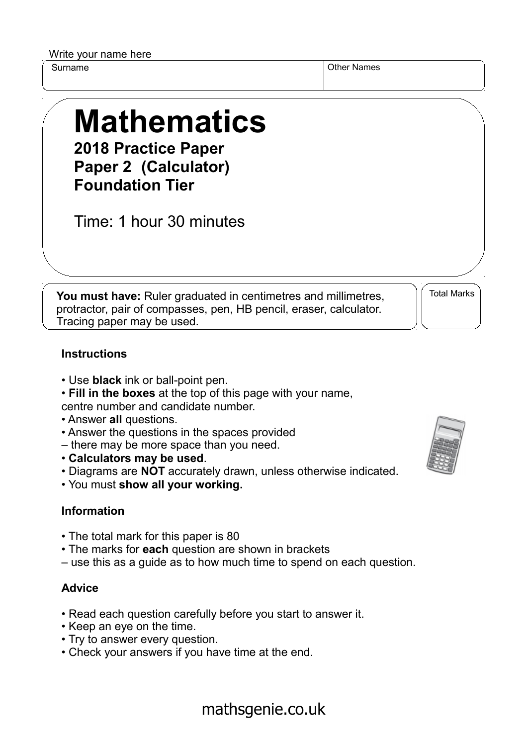Write your name here

Surname **Other Names** Other Names

## **Mathematics 2018 Practice Paper**

**Paper 2 (Calculator) Foundation Tier**

Time: 1 hour 30 minutes

**You must have:** Ruler graduated in centimetres and millimetres, protractor, pair of compasses, pen, HB pencil, eraser, calculator. Tracing paper may be used.

Total Marks

## **Instructions**

- Use **black** ink or ball-point pen.
- **Fill in the boxes** at the top of this page with your name, centre number and candidate number.
- Answer **all** questions.
- Answer the questions in the spaces provided
- there may be more space than you need.
- **Calculators may be used**.
- Diagrams are **NOT** accurately drawn, unless otherwise indicated.
- You must **show all your working.**

## **Information**

- The total mark for this paper is 80
- The marks for **each** question are shown in brackets
- use this as a guide as to how much time to spend on each question.

## **Advice**

- Read each question carefully before you start to answer it.
- Keep an eye on the time.
- Try to answer every question.
- Check your answers if you have time at the end.



mathsgenie.co.uk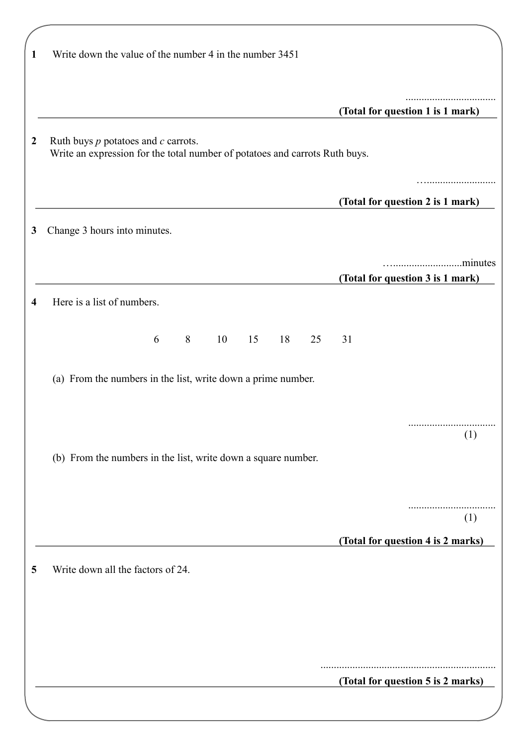| 1              | Write down the value of the number 4 in the number 3451                                                                |                                   |
|----------------|------------------------------------------------------------------------------------------------------------------------|-----------------------------------|
|                |                                                                                                                        | (Total for question 1 is 1 mark)  |
| $\overline{2}$ | Ruth buys $p$ potatoes and $c$ carrots.<br>Write an expression for the total number of potatoes and carrots Ruth buys. |                                   |
|                |                                                                                                                        | (Total for question 2 is 1 mark)  |
| 3              | Change 3 hours into minutes.                                                                                           |                                   |
|                |                                                                                                                        | (Total for question 3 is 1 mark)  |
| 4              | Here is a list of numbers.                                                                                             |                                   |
|                | 8<br>10<br>6<br>15<br>18<br>25                                                                                         | 31                                |
|                | (a) From the numbers in the list, write down a prime number.                                                           |                                   |
|                |                                                                                                                        | <br>(1)                           |
|                | (b) From the numbers in the list, write down a square number.                                                          |                                   |
|                |                                                                                                                        | (1)                               |
|                |                                                                                                                        | (Total for question 4 is 2 marks) |
| 5              | Write down all the factors of 24.                                                                                      |                                   |
|                |                                                                                                                        |                                   |
|                |                                                                                                                        |                                   |
|                |                                                                                                                        | (Total for question 5 is 2 marks) |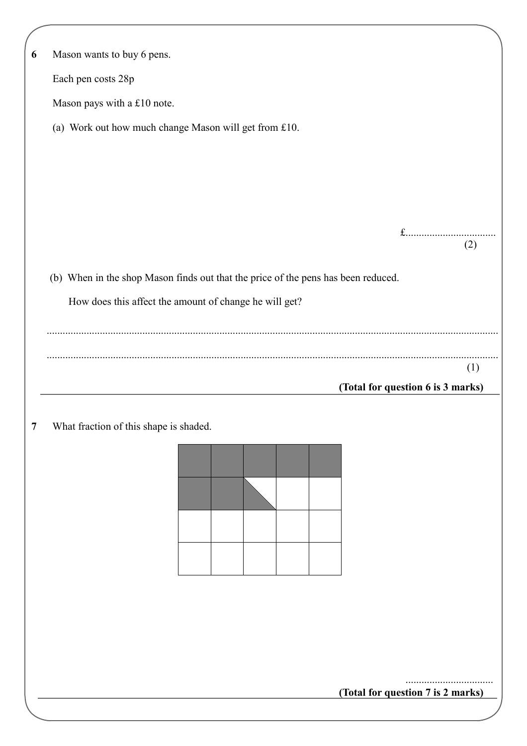| 6              | Mason wants to buy 6 pens.                                                        |
|----------------|-----------------------------------------------------------------------------------|
|                | Each pen costs 28p                                                                |
|                | Mason pays with a £10 note.                                                       |
|                | (a) Work out how much change Mason will get from £10.                             |
|                |                                                                                   |
|                |                                                                                   |
|                |                                                                                   |
|                | $f$                                                                               |
|                | (2)                                                                               |
|                | (b) When in the shop Mason finds out that the price of the pens has been reduced. |
|                | How does this affect the amount of change he will get?                            |
|                |                                                                                   |
|                |                                                                                   |
|                | (1)                                                                               |
|                | (Total for question 6 is 3 marks)                                                 |
| $\overline{7}$ | What fraction of this shape is shaded.                                            |
|                |                                                                                   |
|                |                                                                                   |
|                |                                                                                   |
|                |                                                                                   |
|                |                                                                                   |
|                |                                                                                   |
|                |                                                                                   |
|                |                                                                                   |
|                |                                                                                   |
|                |                                                                                   |
|                | (Total for question 7 is 2 marks)                                                 |
|                |                                                                                   |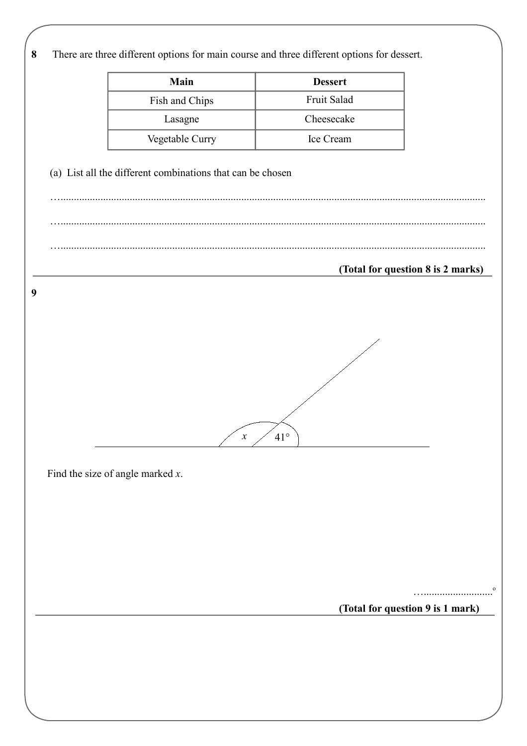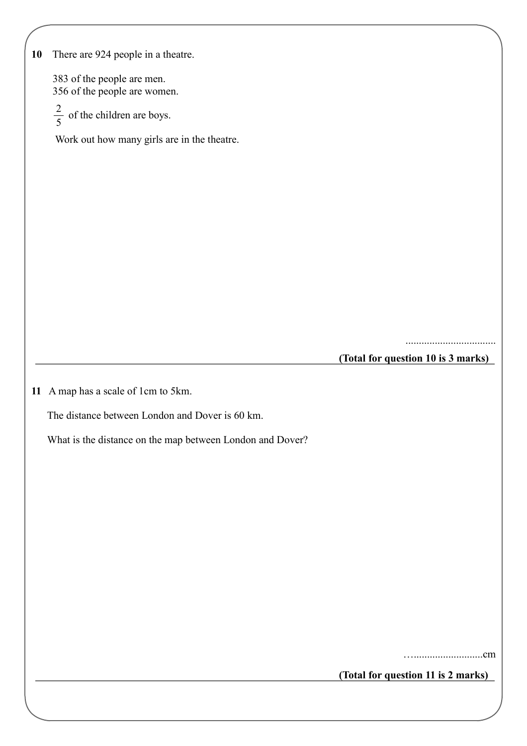| 10 | There are 924 people in a theatre.                         |                                    |
|----|------------------------------------------------------------|------------------------------------|
|    | 383 of the people are men.<br>356 of the people are women. |                                    |
|    | $\frac{2}{5}$ of the children are boys.                    |                                    |
|    | Work out how many girls are in the theatre.                |                                    |
|    |                                                            |                                    |
|    |                                                            |                                    |
|    |                                                            |                                    |
|    |                                                            |                                    |
|    |                                                            |                                    |
|    |                                                            |                                    |
|    |                                                            |                                    |
|    |                                                            |                                    |
|    |                                                            |                                    |
|    |                                                            | (Total for question 10 is 3 marks) |
|    | 11 A map has a scale of 1cm to 5km.                        |                                    |
|    | The distance between London and Dover is 60 km.            |                                    |
|    | What is the distance on the map between London and Dover?  |                                    |
|    |                                                            |                                    |
|    |                                                            |                                    |
|    |                                                            |                                    |
|    |                                                            |                                    |
|    |                                                            |                                    |
|    |                                                            |                                    |
|    |                                                            |                                    |
|    |                                                            |                                    |

**(Total for question 11 is 2 marks)**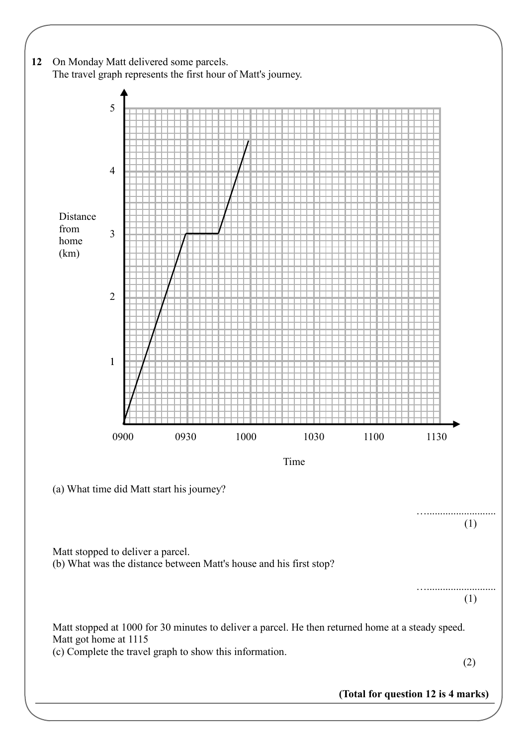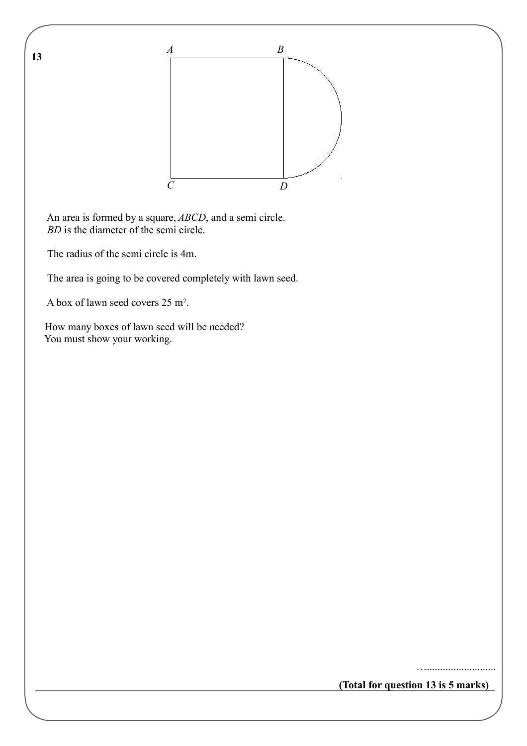

 An area is formed by a square, *ABCD*, and a semi circle. *BD* is the diameter of the semi circle.

The radius of the semi circle is 4m.

**13** 

The area is going to be covered completely with lawn seed.

A box of lawn seed covers 25 m².

 How many boxes of lawn seed will be needed? You must show your working.

**(Total for question 13 is 5 marks)**

…..........................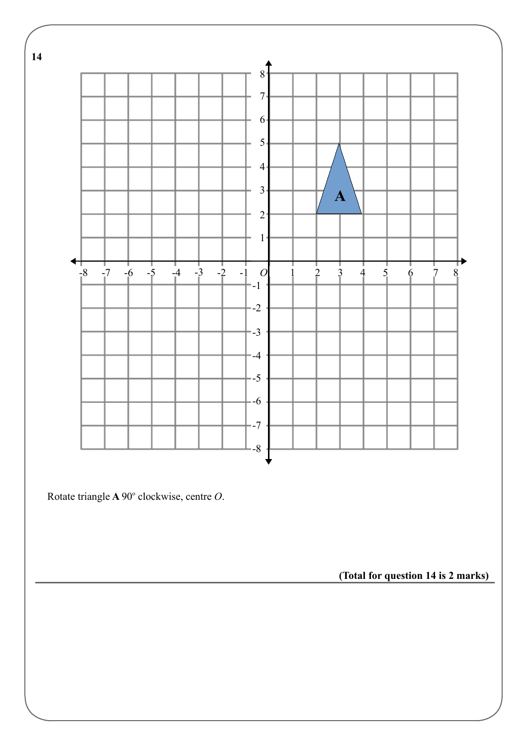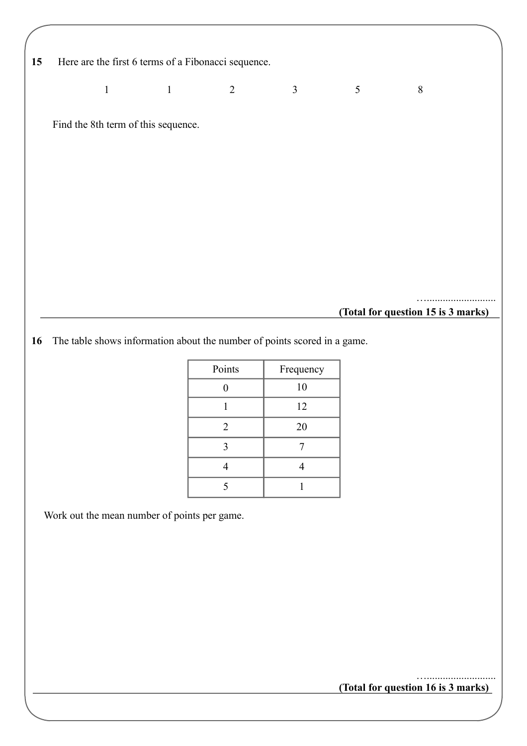| Here are the first 6 terms of a Fibonacci sequence.<br>15 |  |
|-----------------------------------------------------------|--|
|-----------------------------------------------------------|--|

1 1 2 3 5 8

Find the 8th term of this sequence.

**(Total for question 15 is 3 marks)**

…..........................

**16** The table shows information about the number of points scored in a game.

| Frequency |
|-----------|
| 10        |
| 12        |
| 20        |
|           |
|           |
|           |
|           |

Work out the mean number of points per game.

**(Total for question 16 is 3 marks)**

…..........................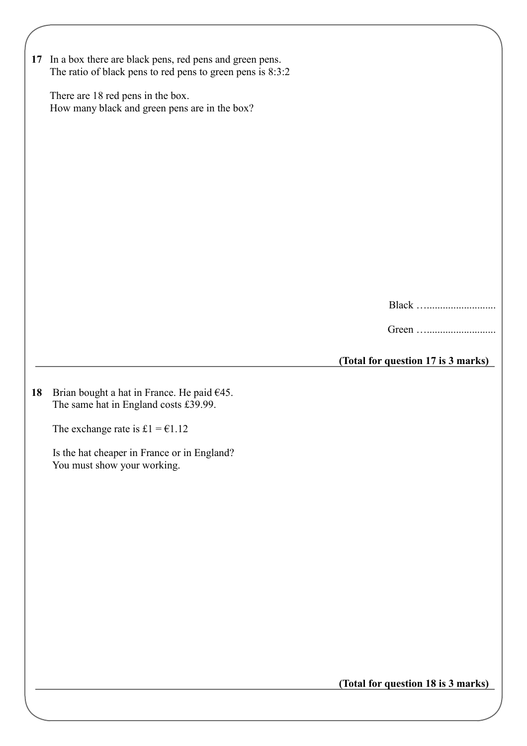|    | 17 In a box there are black pens, red pens and green pens.                             |                                    |
|----|----------------------------------------------------------------------------------------|------------------------------------|
|    | The ratio of black pens to red pens to green pens is 8:3:2                             |                                    |
|    | There are 18 red pens in the box.<br>How many black and green pens are in the box?     |                                    |
|    |                                                                                        |                                    |
|    |                                                                                        |                                    |
|    |                                                                                        |                                    |
|    |                                                                                        |                                    |
|    |                                                                                        |                                    |
|    |                                                                                        |                                    |
|    |                                                                                        |                                    |
|    |                                                                                        |                                    |
|    |                                                                                        | Black                              |
|    |                                                                                        |                                    |
|    |                                                                                        | (Total for question 17 is 3 marks) |
|    |                                                                                        |                                    |
| 18 | Brian bought a hat in France. He paid $645$ .<br>The same hat in England costs £39.99. |                                    |
|    | The exchange rate is £1 = $€1.12$                                                      |                                    |
|    | Is the hat cheaper in France or in England?                                            |                                    |
|    | You must show your working.                                                            |                                    |
|    |                                                                                        |                                    |
|    |                                                                                        |                                    |
|    |                                                                                        |                                    |
|    |                                                                                        |                                    |
|    |                                                                                        |                                    |
|    |                                                                                        |                                    |
|    |                                                                                        |                                    |
|    |                                                                                        |                                    |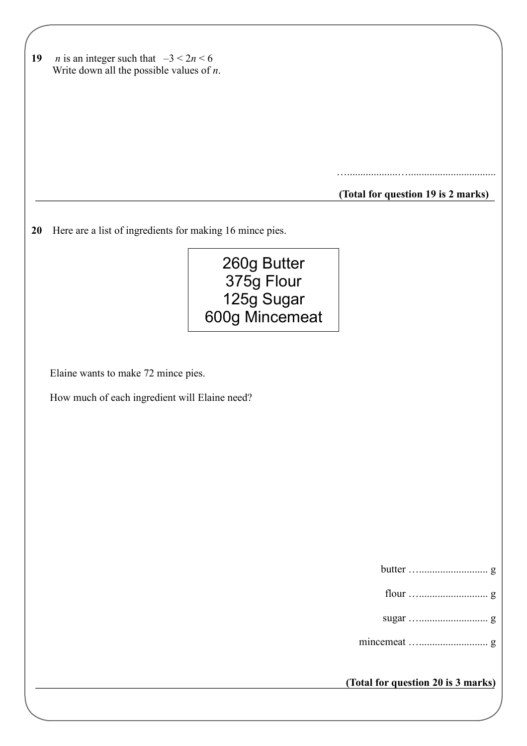| 19        | <i>n</i> is an integer such that $-3 < 2n < 6$<br>Write down all the possible values of $n$ . |                                    |
|-----------|-----------------------------------------------------------------------------------------------|------------------------------------|
|           |                                                                                               |                                    |
|           |                                                                                               |                                    |
|           |                                                                                               |                                    |
|           |                                                                                               |                                    |
|           |                                                                                               |                                    |
|           |                                                                                               |                                    |
|           |                                                                                               | (Total for question 19 is 2 marks) |
|           |                                                                                               |                                    |
| <b>20</b> | Here are a list of ingredients for making 16 mince pies.                                      |                                    |
|           | 260g Butter                                                                                   |                                    |
|           | 375g Flour                                                                                    |                                    |
|           | 125g Sugar                                                                                    |                                    |
|           | 600g Mincemeat                                                                                |                                    |
|           |                                                                                               |                                    |
|           |                                                                                               |                                    |
|           | Elaine wants to make 72 mince pies.                                                           |                                    |
|           | How much of each ingredient will Elaine need?                                                 |                                    |
|           |                                                                                               |                                    |
|           |                                                                                               |                                    |
|           |                                                                                               |                                    |
|           |                                                                                               |                                    |
|           |                                                                                               |                                    |
|           |                                                                                               |                                    |
|           |                                                                                               |                                    |
|           |                                                                                               |                                    |
|           |                                                                                               |                                    |
|           |                                                                                               |                                    |
|           |                                                                                               |                                    |
|           |                                                                                               |                                    |
|           |                                                                                               |                                    |
|           |                                                                                               | (Total for question 20 is 3 marks) |
|           |                                                                                               |                                    |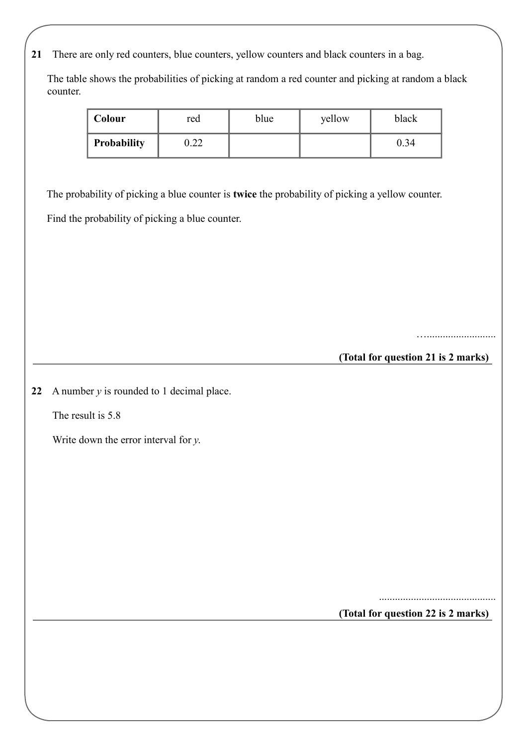**21** There are only red counters, blue counters, yellow counters and black counters in a bag.

 The table shows the probabilities of picking at random a red counter and picking at random a black counter.

| Colour             | red        | blue | yellow | black |
|--------------------|------------|------|--------|-------|
| <b>Probability</b> | ററ<br>J.ZZ |      |        | 0.34  |

The probability of picking a blue counter is **twice** the probability of picking a yellow counter.

Find the probability of picking a blue counter.

…..........................

**(Total for question 21 is 2 marks)**

**22** A number *y* is rounded to 1 decimal place.

The result is 5.8

Write down the error interval for *y*.

............................................

**(Total for question 22 is 2 marks)**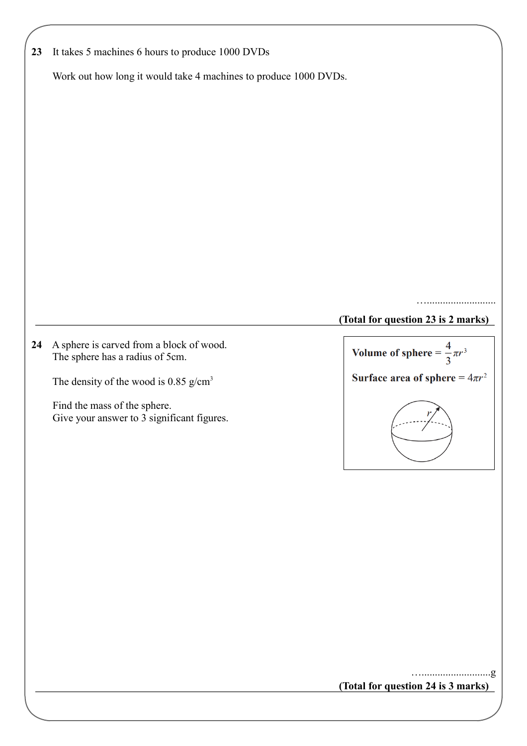| 23 | It takes 5 machines 6 hours to produce 1000 DVDs                            |                                         |  |
|----|-----------------------------------------------------------------------------|-----------------------------------------|--|
|    | Work out how long it would take 4 machines to produce 1000 DVDs.            |                                         |  |
|    |                                                                             |                                         |  |
|    |                                                                             |                                         |  |
|    |                                                                             |                                         |  |
|    |                                                                             |                                         |  |
|    |                                                                             |                                         |  |
|    |                                                                             |                                         |  |
|    |                                                                             |                                         |  |
|    |                                                                             |                                         |  |
|    |                                                                             |                                         |  |
|    |                                                                             |                                         |  |
|    |                                                                             | (Total for question 23 is 2 marks)      |  |
| 24 | A sphere is carved from a block of wood.<br>The sphere has a radius of 5cm. | Volume of sphere = $\frac{4}{3}\pi r^3$ |  |
|    | The density of the wood is 0.85 $g/cm3$                                     | Surface area of sphere = $4\pi r^2$     |  |
|    | Find the mass of the sphere.<br>Give your answer to 3 significant figures.  |                                         |  |
|    |                                                                             |                                         |  |
|    |                                                                             |                                         |  |
|    |                                                                             |                                         |  |
|    |                                                                             |                                         |  |
|    |                                                                             |                                         |  |
|    |                                                                             |                                         |  |
|    |                                                                             |                                         |  |
|    |                                                                             |                                         |  |
|    |                                                                             |                                         |  |
|    |                                                                             |                                         |  |

**(Total for question 24 is 3 marks)**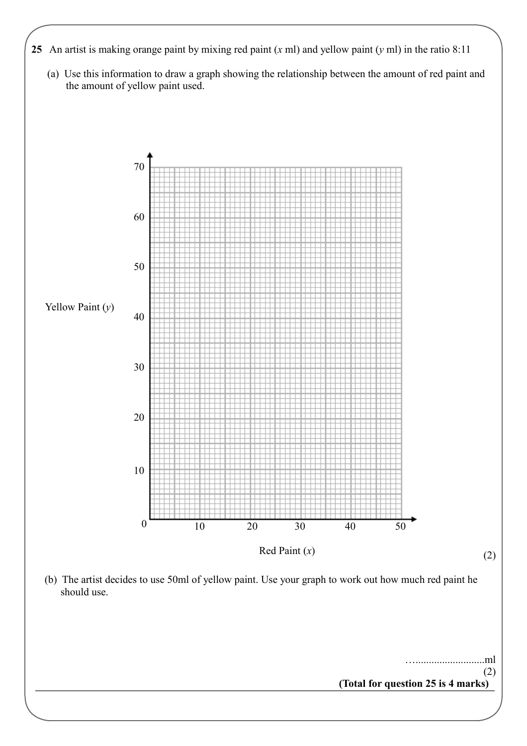- **25** An artist is making orange paint by mixing red paint (*x* ml) and yellow paint (*y* ml) in the ratio 8:11
	- (a) Use this information to draw a graph showing the relationship between the amount of red paint and the amount of yellow paint used.

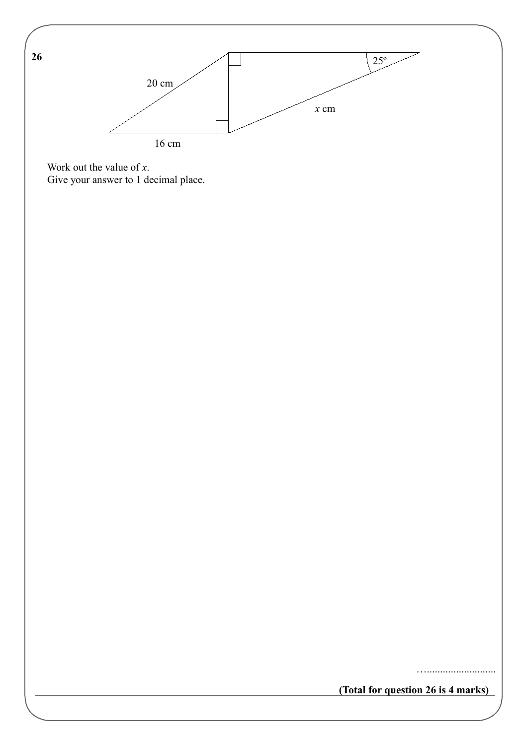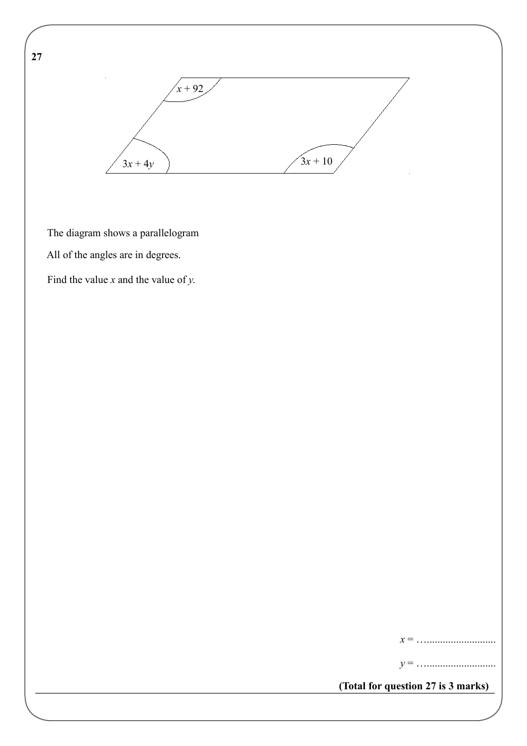**27** 



The diagram shows a parallelogram

All of the angles are in degrees.

Find the value *x* and the value of *y*.

*x* = …..........................

*y* = …..........................

**(Total for question 27 is 3 marks)**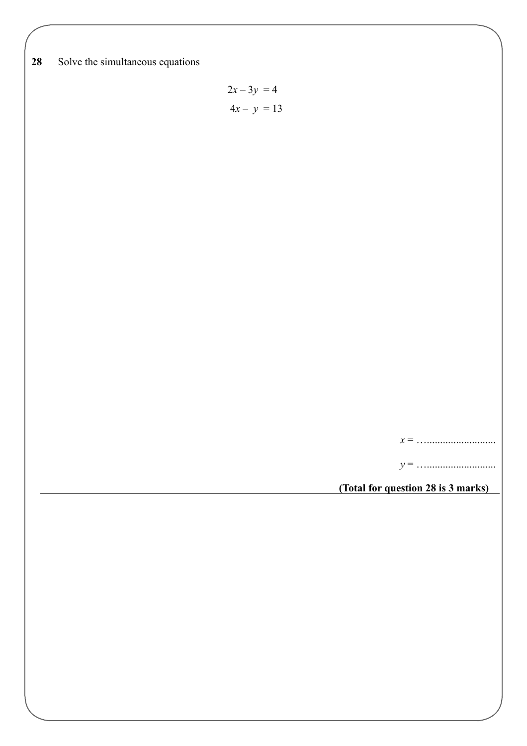**28** Solve the simultaneous equations

$$
2x - 3y = 4
$$

$$
4x - y = 13
$$

*x* = …..........................

*y* = …..........................

**(Total for question 28 is 3 marks)**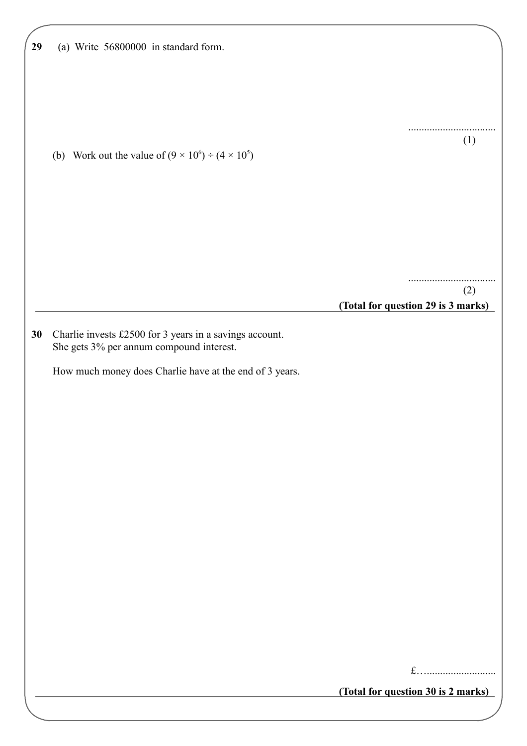| 29 | (a) Write 56800000 in standard form.                                                                |                                    |
|----|-----------------------------------------------------------------------------------------------------|------------------------------------|
|    |                                                                                                     |                                    |
|    |                                                                                                     | (1)                                |
|    | (b) Work out the value of $(9 \times 10^6) \div (4 \times 10^5)$                                    |                                    |
|    |                                                                                                     |                                    |
|    |                                                                                                     |                                    |
|    |                                                                                                     | (2)                                |
|    |                                                                                                     | (Total for question 29 is 3 marks) |
| 30 | Charlie invests £2500 for 3 years in a savings account.<br>She gets 3% per annum compound interest. |                                    |
|    | How much money does Charlie have at the end of 3 years.                                             |                                    |
|    |                                                                                                     |                                    |
|    |                                                                                                     |                                    |
|    |                                                                                                     |                                    |
|    |                                                                                                     |                                    |
|    |                                                                                                     |                                    |
|    |                                                                                                     |                                    |
|    |                                                                                                     |                                    |
|    |                                                                                                     | $f$                                |
|    |                                                                                                     | (Total for question 30 is 2 marks) |